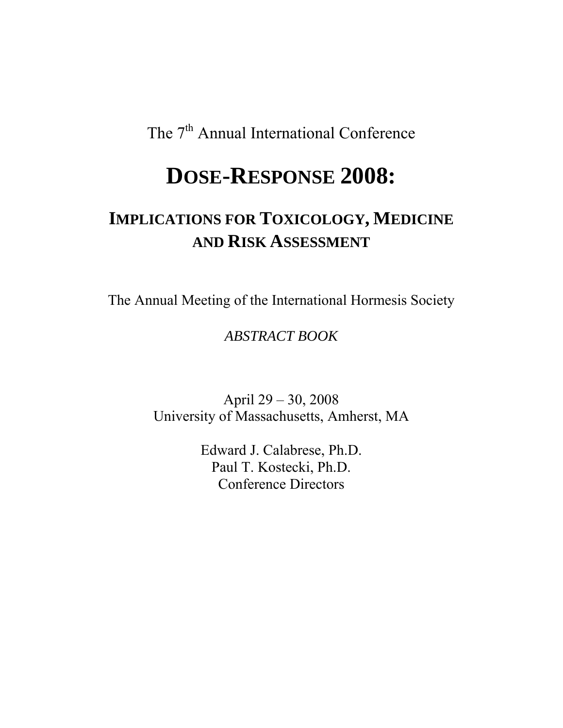The 7<sup>th</sup> Annual International Conference

# **DOSE-RESPONSE 2008:**

# **IMPLICATIONS FOR TOXICOLOGY, MEDICINE AND RISK ASSESSMENT**

The Annual Meeting of the International Hormesis Society

# *ABSTRACT BOOK*

April 29 – 30, 2008 University of Massachusetts, Amherst, MA

> Edward J. Calabrese, Ph.D. Paul T. Kostecki, Ph.D. Conference Directors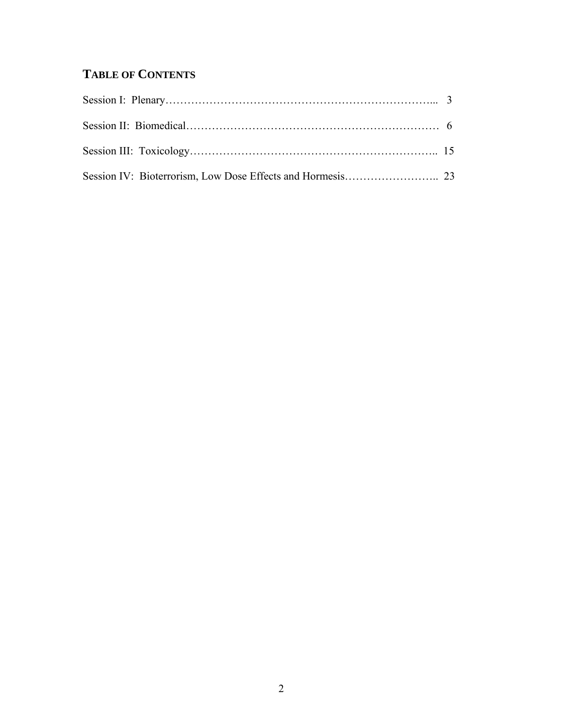# **TABLE OF CONTENTS**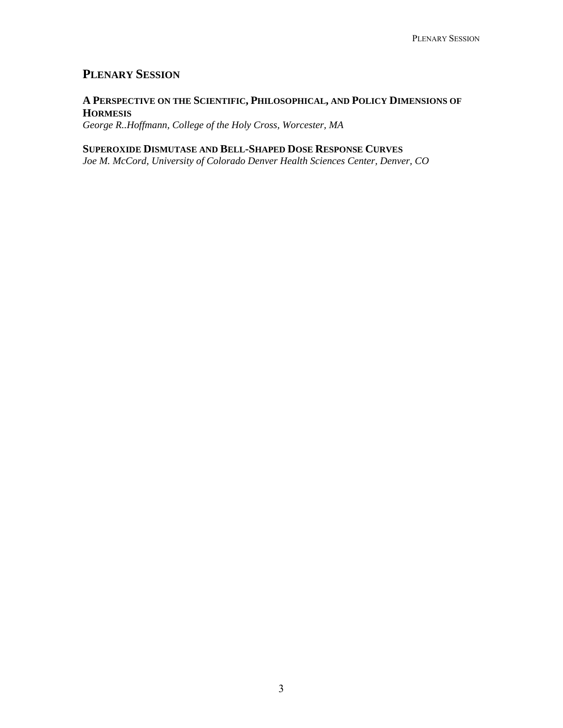# **PLENARY SESSION**

# **A PERSPECTIVE ON THE SCIENTIFIC, PHILOSOPHICAL, AND POLICY DIMENSIONS OF HORMESIS**

*George R..Hoffmann, College of the Holy Cross, Worcester, MA* 

#### **SUPEROXIDE DISMUTASE AND BELL-SHAPED DOSE RESPONSE CURVES**

*Joe M. McCord, University of Colorado Denver Health Sciences Center, Denver, CO*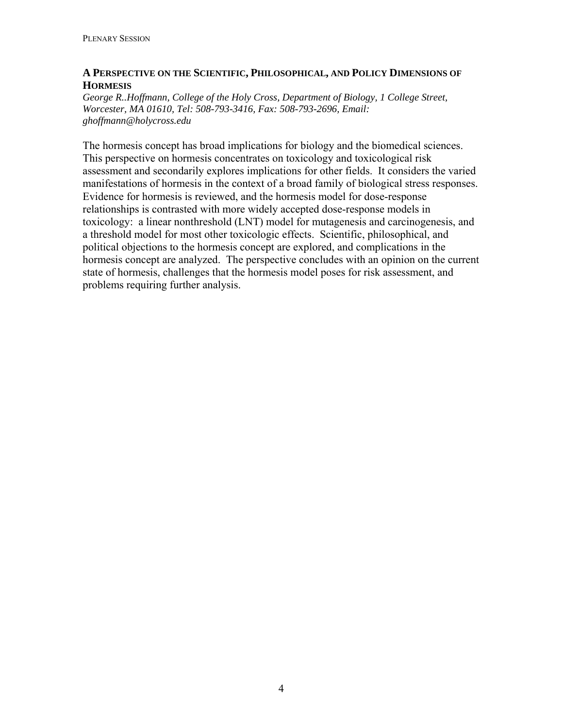#### **A PERSPECTIVE ON THE SCIENTIFIC, PHILOSOPHICAL, AND POLICY DIMENSIONS OF HORMESIS**

*George R..Hoffmann, College of the Holy Cross, Department of Biology, 1 College Street, Worcester, MA 01610, Tel: 508-793-3416, Fax: 508-793-2696, Email: ghoffmann@holycross.edu* 

The hormesis concept has broad implications for biology and the biomedical sciences. This perspective on hormesis concentrates on toxicology and toxicological risk assessment and secondarily explores implications for other fields. It considers the varied manifestations of hormesis in the context of a broad family of biological stress responses. Evidence for hormesis is reviewed, and the hormesis model for dose-response relationships is contrasted with more widely accepted dose-response models in toxicology: a linear nonthreshold (LNT) model for mutagenesis and carcinogenesis, and a threshold model for most other toxicologic effects. Scientific, philosophical, and political objections to the hormesis concept are explored, and complications in the hormesis concept are analyzed. The perspective concludes with an opinion on the current state of hormesis, challenges that the hormesis model poses for risk assessment, and problems requiring further analysis.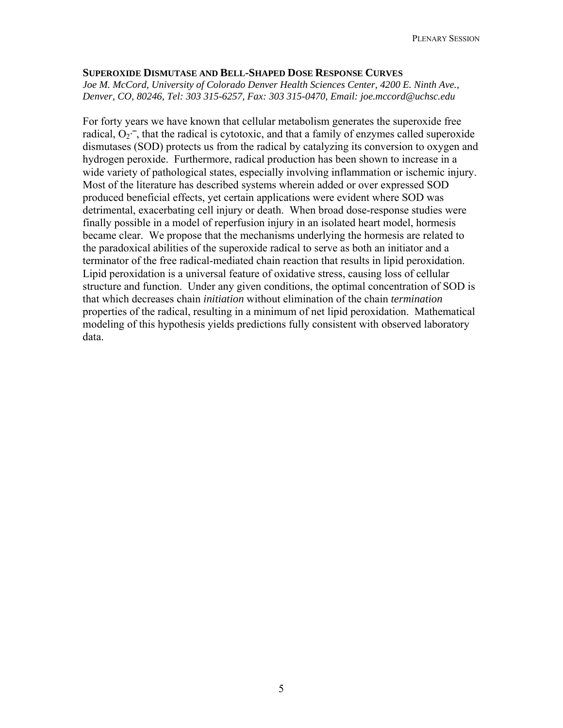#### **SUPEROXIDE DISMUTASE AND BELL-SHAPED DOSE RESPONSE CURVES**

*Joe M. McCord, University of Colorado Denver Health Sciences Center, 4200 E. Ninth Ave., Denver, CO, 80246, Tel: 303 315-6257, Fax: 303 315-0470, Email: [joe.mccord@uchsc.edu](mailto:joe.mccord@uchsc.edu)*

For forty years we have known that cellular metabolism generates the superoxide free radical,  $O_2$ <sup>-</sup>, that the radical is cytotoxic, and that a family of enzymes called superoxide dismutases (SOD) protects us from the radical by catalyzing its conversion to oxygen and hydrogen peroxide. Furthermore, radical production has been shown to increase in a wide variety of pathological states, especially involving inflammation or ischemic injury. Most of the literature has described systems wherein added or over expressed SOD produced beneficial effects, yet certain applications were evident where SOD was detrimental, exacerbating cell injury or death. When broad dose-response studies were finally possible in a model of reperfusion injury in an isolated heart model, hormesis became clear. We propose that the mechanisms underlying the hormesis are related to the paradoxical abilities of the superoxide radical to serve as both an initiator and a terminator of the free radical-mediated chain reaction that results in lipid peroxidation. Lipid peroxidation is a universal feature of oxidative stress, causing loss of cellular structure and function. Under any given conditions, the optimal concentration of SOD is that which decreases chain *initiation* without elimination of the chain *termination* properties of the radical, resulting in a minimum of net lipid peroxidation. Mathematical modeling of this hypothesis yields predictions fully consistent with observed laboratory data.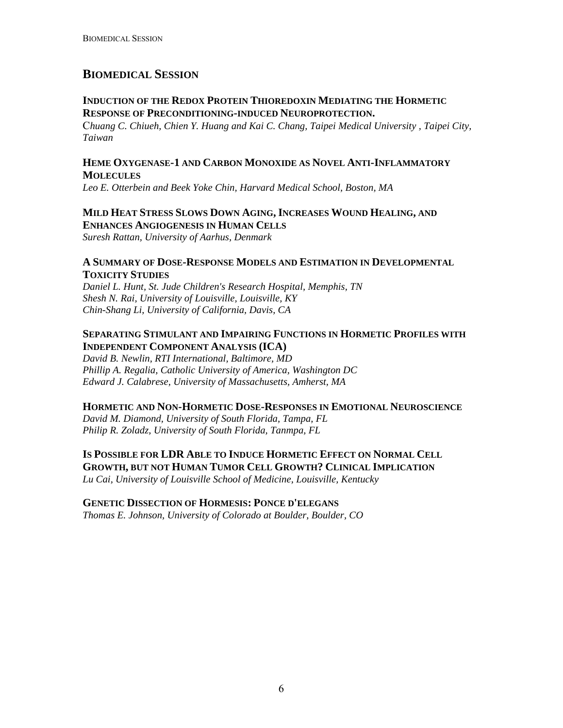# **BIOMEDICAL SESSION**

# **INDUCTION OF THE REDOX PROTEIN THIOREDOXIN MEDIATING THE HORMETIC RESPONSE OF PRECONDITIONING-INDUCED NEUROPROTECTION.**

C*huang C. Chiueh, Chien Y. Huang and Kai C. Chang, Taipei Medical University , Taipei City, Taiwan* 

# **HEME OXYGENASE-1 AND CARBON MONOXIDE AS NOVEL ANTI-INFLAMMATORY MOLECULES**

*Leo E. Otterbein and Beek Yoke Chin, Harvard Medical School, Boston, MA* 

# **MILD HEAT STRESS SLOWS DOWN AGING, INCREASES WOUND HEALING, AND**

**ENHANCES ANGIOGENESIS IN HUMAN CELLS**  *Suresh Rattan, University of Aarhus, Denmark* 

#### **A SUMMARY OF DOSE-RESPONSE MODELS AND ESTIMATION IN DEVELOPMENTAL TOXICITY STUDIES**

*Daniel L. Hunt, St. Jude Children's Research Hospital, Memphis, TN Shesh N. Rai, University of Louisville, Louisville, KY Chin-Shang Li, University of California, Davis, CA* 

# **SEPARATING STIMULANT AND IMPAIRING FUNCTIONS IN HORMETIC PROFILES WITH INDEPENDENT COMPONENT ANALYSIS (ICA)**

*David B. Newlin, RTI International, Baltimore, MD Phillip A. Regalia, Catholic University of America, Washington DC Edward J. Calabrese, University of Massachusetts, Amherst, MA* 

## **HORMETIC AND NON-HORMETIC DOSE-RESPONSES IN EMOTIONAL NEUROSCIENCE**

*David M. Diamond, University of South Florida, Tampa, FL Philip R. Zoladz, University of South Florida, Tanmpa, FL* 

**IS POSSIBLE FOR LDR ABLE TO INDUCE HORMETIC EFFECT ON NORMAL CELL GROWTH, BUT NOT HUMAN TUMOR CELL GROWTH? CLINICAL IMPLICATION**

*Lu Cai, University of Louisville School of Medicine, Louisville, Kentucky* 

## **GENETIC DISSECTION OF HORMESIS: PONCE D'ELEGANS**

*Thomas E. Johnson, University of Colorado at Boulder, Boulder, CO*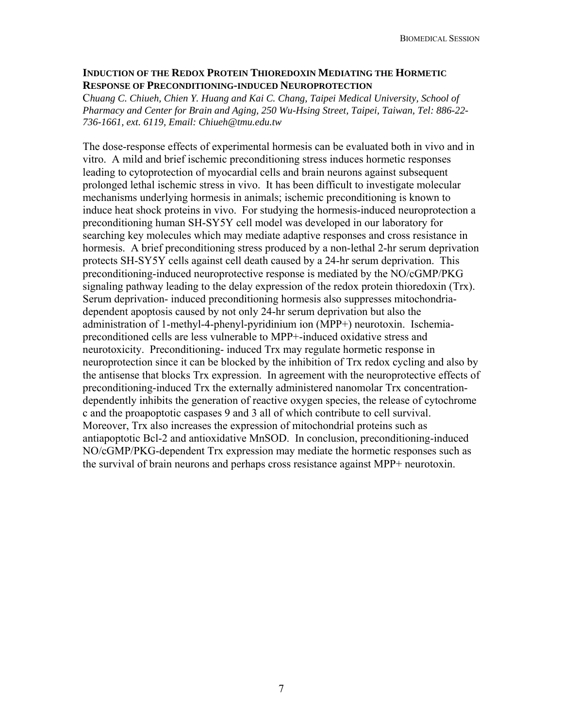#### **INDUCTION OF THE REDOX PROTEIN THIOREDOXIN MEDIATING THE HORMETIC RESPONSE OF PRECONDITIONING-INDUCED NEUROPROTECTION**

C*huang C. Chiueh, Chien Y. Huang and Kai C. Chang, Taipei Medical University, School of Pharmacy and Center for Brain and Aging, 250 Wu-Hsing Street, Taipei, Taiwan, Tel: 886-22- 736-1661, ext. 6119, Email: [Chiueh@tmu.edu.tw](mailto:Chiueh@tmu.edu.tw)*

The dose-response effects of experimental hormesis can be evaluated both in vivo and in vitro. A mild and brief ischemic preconditioning stress induces hormetic responses leading to cytoprotection of myocardial cells and brain neurons against subsequent prolonged lethal ischemic stress in vivo. It has been difficult to investigate molecular mechanisms underlying hormesis in animals; ischemic preconditioning is known to induce heat shock proteins in vivo. For studying the hormesis-induced neuroprotection a preconditioning human SH-SY5Y cell model was developed in our laboratory for searching key molecules which may mediate adaptive responses and cross resistance in hormesis. A brief preconditioning stress produced by a non-lethal 2-hr serum deprivation protects SH-SY5Y cells against cell death caused by a 24-hr serum deprivation. This preconditioning-induced neuroprotective response is mediated by the NO/cGMP/PKG signaling pathway leading to the delay expression of the redox protein thioredoxin (Trx). Serum deprivation- induced preconditioning hormesis also suppresses mitochondriadependent apoptosis caused by not only 24-hr serum deprivation but also the administration of 1-methyl-4-phenyl-pyridinium ion (MPP+) neurotoxin. Ischemiapreconditioned cells are less vulnerable to MPP+-induced oxidative stress and neurotoxicity. Preconditioning- induced Trx may regulate hormetic response in neuroprotection since it can be blocked by the inhibition of Trx redox cycling and also by the antisense that blocks Trx expression. In agreement with the neuroprotective effects of preconditioning-induced Trx the externally administered nanomolar Trx concentrationdependently inhibits the generation of reactive oxygen species, the release of cytochrome c and the proapoptotic caspases 9 and 3 all of which contribute to cell survival. Moreover, Trx also increases the expression of mitochondrial proteins such as antiapoptotic Bcl-2 and antioxidative MnSOD. In conclusion, preconditioning-induced NO/cGMP/PKG-dependent Trx expression may mediate the hormetic responses such as the survival of brain neurons and perhaps cross resistance against MPP+ neurotoxin.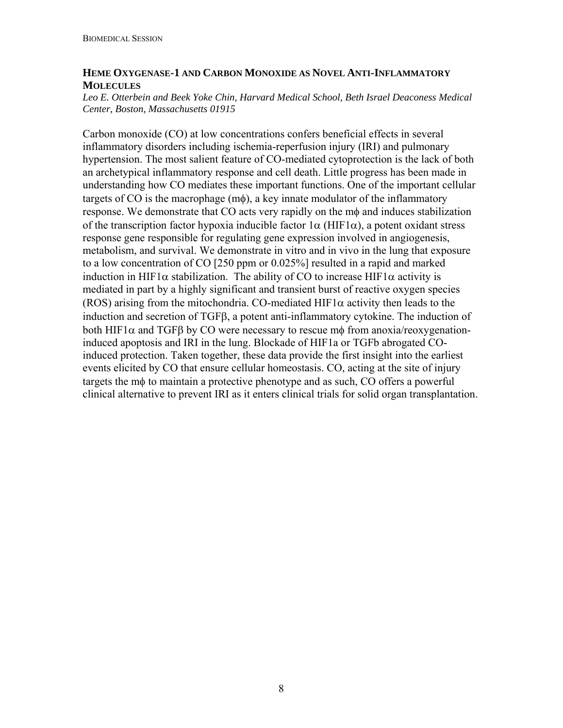## **HEME OXYGENASE-1 AND CARBON MONOXIDE AS NOVEL ANTI-INFLAMMATORY MOLECULES**

#### *Leo E. Otterbein and Beek Yoke Chin, Harvard Medical School, Beth Israel Deaconess Medical Center, Boston, Massachusetts 01915*

Carbon monoxide (CO) at low concentrations confers beneficial effects in several inflammatory disorders including ischemia-reperfusion injury (IRI) and pulmonary hypertension. The most salient feature of CO-mediated cytoprotection is the lack of both an archetypical inflammatory response and cell death. Little progress has been made in understanding how CO mediates these important functions. One of the important cellular targets of CO is the macrophage  $(m\phi)$ , a key innate modulator of the inflammatory response. We demonstrate that CO acts very rapidly on the mφ and induces stabilization of the transcription factor hypoxia inducible factor  $1\alpha$  (HIF1 $\alpha$ ), a potent oxidant stress response gene responsible for regulating gene expression involved in angiogenesis, metabolism, and survival. We demonstrate in vitro and in vivo in the lung that exposure to a low concentration of CO [250 ppm or 0.025%] resulted in a rapid and marked induction in HIF1 $\alpha$  stabilization. The ability of CO to increase HIF1 $\alpha$  activity is mediated in part by a highly significant and transient burst of reactive oxygen species (ROS) arising from the mitochondria. CO-mediated HIF1 $\alpha$  activity then leads to the induction and secretion of TGFβ, a potent anti-inflammatory cytokine. The induction of both HIF1 $\alpha$  and TGFB by CO were necessary to rescue mot from anoxia/reoxygenationinduced apoptosis and IRI in the lung. Blockade of HIF1a or TGFb abrogated COinduced protection. Taken together, these data provide the first insight into the earliest events elicited by CO that ensure cellular homeostasis. CO, acting at the site of injury targets the mφ to maintain a protective phenotype and as such, CO offers a powerful clinical alternative to prevent IRI as it enters clinical trials for solid organ transplantation.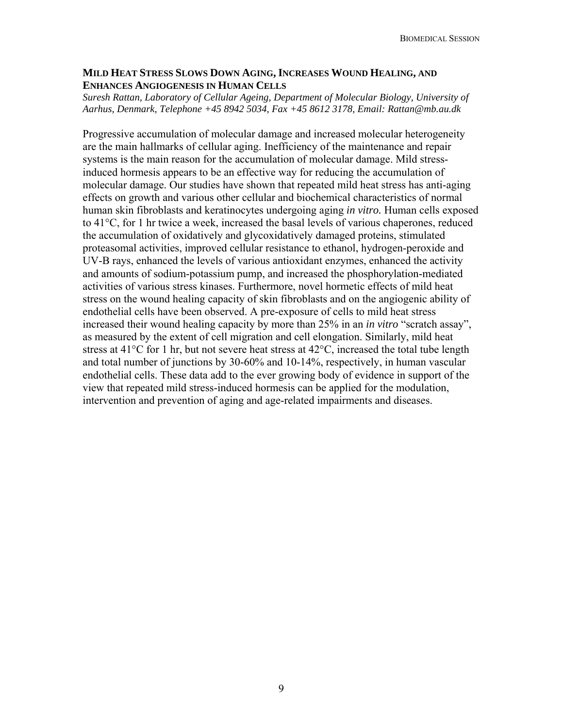#### **MILD HEAT STRESS SLOWS DOWN AGING, INCREASES WOUND HEALING, AND ENHANCES ANGIOGENESIS IN HUMAN CELLS**

*Suresh Rattan, Laboratory of Cellular Ageing, Department of Molecular Biology, University of Aarhus, Denmark, Telephone +45 8942 5034, Fax +45 8612 3178, Email: Rattan@mb.au.dk* 

Progressive accumulation of molecular damage and increased molecular heterogeneity are the main hallmarks of cellular aging. Inefficiency of the maintenance and repair systems is the main reason for the accumulation of molecular damage. Mild stressinduced hormesis appears to be an effective way for reducing the accumulation of molecular damage. Our studies have shown that repeated mild heat stress has anti-aging effects on growth and various other cellular and biochemical characteristics of normal human skin fibroblasts and keratinocytes undergoing aging *in vitro.* Human cells exposed to 41°C, for 1 hr twice a week, increased the basal levels of various chaperones, reduced the accumulation of oxidatively and glycoxidatively damaged proteins, stimulated proteasomal activities, improved cellular resistance to ethanol, hydrogen-peroxide and UV-B rays, enhanced the levels of various antioxidant enzymes, enhanced the activity and amounts of sodium-potassium pump, and increased the phosphorylation-mediated activities of various stress kinases. Furthermore, novel hormetic effects of mild heat stress on the wound healing capacity of skin fibroblasts and on the angiogenic ability of endothelial cells have been observed. A pre-exposure of cells to mild heat stress increased their wound healing capacity by more than 25% in an *in vitro* "scratch assay", as measured by the extent of cell migration and cell elongation. Similarly, mild heat stress at 41°C for 1 hr, but not severe heat stress at 42°C, increased the total tube length and total number of junctions by 30-60% and 10-14%, respectively, in human vascular endothelial cells. These data add to the ever growing body of evidence in support of the view that repeated mild stress-induced hormesis can be applied for the modulation, intervention and prevention of aging and age-related impairments and diseases.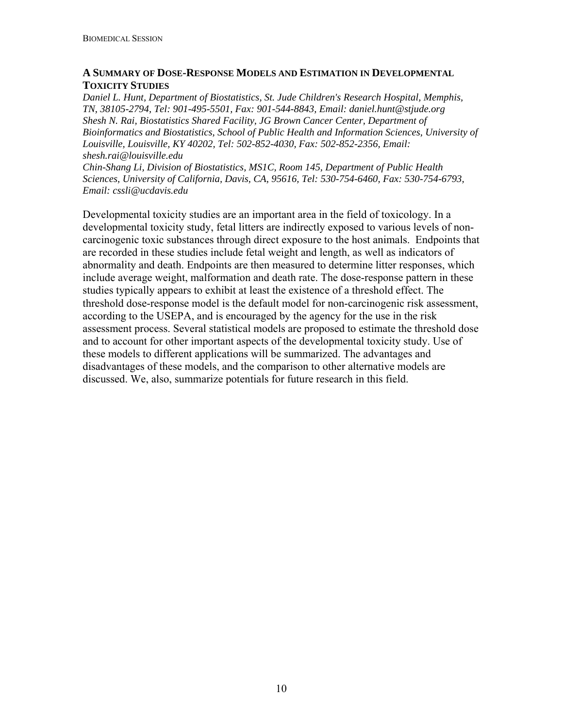# **A SUMMARY OF DOSE-RESPONSE MODELS AND ESTIMATION IN DEVELOPMENTAL TOXICITY STUDIES**

*Daniel L. Hunt, Department of Biostatistics, St. Jude Children's Research Hospital, Memphis, TN, 38105-2794, Tel: 901-495-5501, Fax: 901-544-8843, Email: [daniel.hunt@stjude.org](mailto:daniel.hunt@stjude.org) Shesh N. Rai, Biostatistics Shared Facility, JG Brown Cancer Center, Department of Bioinformatics and Biostatistics, School of Public Health and Information Sciences, University of Louisville, Louisville, KY 40202, Tel: 502-852-4030, Fax: 502-852-2356, Email: [shesh.rai@louisville.edu](mailto:shesh.rai@louisville.edu)*

*Chin-Shang Li, Division of Biostatistics, MS1C, Room 145, Department of Public Health Sciences, University of California, Davis, CA, 95616, Tel: 530-754-6460, Fax: 530-754-6793, Email: [cssli@ucdavis.edu](mailto:cssli@ucdavis.edu)*

Developmental toxicity studies are an important area in the field of toxicology. In a developmental toxicity study, fetal litters are indirectly exposed to various levels of noncarcinogenic toxic substances through direct exposure to the host animals. Endpoints that are recorded in these studies include fetal weight and length, as well as indicators of abnormality and death. Endpoints are then measured to determine litter responses, which include average weight, malformation and death rate. The dose-response pattern in these studies typically appears to exhibit at least the existence of a threshold effect. The threshold dose-response model is the default model for non-carcinogenic risk assessment, according to the USEPA, and is encouraged by the agency for the use in the risk assessment process. Several statistical models are proposed to estimate the threshold dose and to account for other important aspects of the developmental toxicity study. Use of these models to different applications will be summarized. The advantages and disadvantages of these models, and the comparison to other alternative models are discussed. We, also, summarize potentials for future research in this field.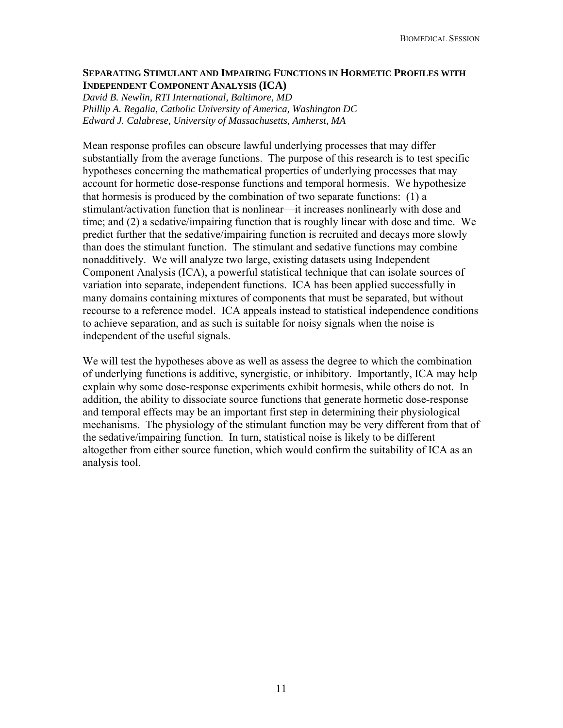#### **SEPARATING STIMULANT AND IMPAIRING FUNCTIONS IN HORMETIC PROFILES WITH INDEPENDENT COMPONENT ANALYSIS (ICA)**

*David B. Newlin, RTI International, Baltimore, MD Phillip A. Regalia, Catholic University of America, Washington DC Edward J. Calabrese, University of Massachusetts, Amherst, MA* 

Mean response profiles can obscure lawful underlying processes that may differ substantially from the average functions. The purpose of this research is to test specific hypotheses concerning the mathematical properties of underlying processes that may account for hormetic dose-response functions and temporal hormesis. We hypothesize that hormesis is produced by the combination of two separate functions: (1) a stimulant/activation function that is nonlinear—it increases nonlinearly with dose and time; and (2) a sedative/impairing function that is roughly linear with dose and time. We predict further that the sedative/impairing function is recruited and decays more slowly than does the stimulant function. The stimulant and sedative functions may combine nonadditively. We will analyze two large, existing datasets using Independent Component Analysis (ICA), a powerful statistical technique that can isolate sources of variation into separate, independent functions. ICA has been applied successfully in many domains containing mixtures of components that must be separated, but without recourse to a reference model. ICA appeals instead to statistical independence conditions to achieve separation, and as such is suitable for noisy signals when the noise is independent of the useful signals.

We will test the hypotheses above as well as assess the degree to which the combination of underlying functions is additive, synergistic, or inhibitory. Importantly, ICA may help explain why some dose-response experiments exhibit hormesis, while others do not. In addition, the ability to dissociate source functions that generate hormetic dose-response and temporal effects may be an important first step in determining their physiological mechanisms. The physiology of the stimulant function may be very different from that of the sedative/impairing function. In turn, statistical noise is likely to be different altogether from either source function, which would confirm the suitability of ICA as an analysis tool.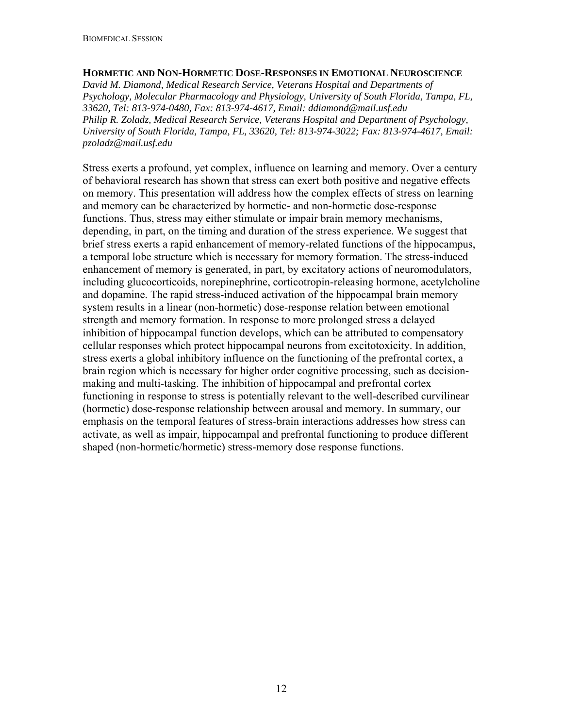#### **HORMETIC AND NON-HORMETIC DOSE-RESPONSES IN EMOTIONAL NEUROSCIENCE**

*David M. Diamond, Medical Research Service, Veterans Hospital and Departments of Psychology, Molecular Pharmacology and Physiology, University of South Florida, Tampa, FL, 33620, Tel: 813-974-0480, Fax: 813-974-4617, Email: [ddiamond@mail.usf.edu](mailto:ddiamond@mail.usf.edu) Philip R. Zoladz, Medical Research Service, Veterans Hospital and Department of Psychology, University of South Florida, Tampa, FL, 33620, Tel: 813-974-3022; Fax: 813-974-4617, Email: [pzoladz@mail.usf.edu](mailto:pzoladz@mail.usf.edu)*

Stress exerts a profound, yet complex, influence on learning and memory. Over a century of behavioral research has shown that stress can exert both positive and negative effects on memory. This presentation will address how the complex effects of stress on learning and memory can be characterized by hormetic- and non-hormetic dose-response functions. Thus, stress may either stimulate or impair brain memory mechanisms, depending, in part, on the timing and duration of the stress experience. We suggest that brief stress exerts a rapid enhancement of memory-related functions of the hippocampus, a temporal lobe structure which is necessary for memory formation. The stress-induced enhancement of memory is generated, in part, by excitatory actions of neuromodulators, including glucocorticoids, norepinephrine, corticotropin-releasing hormone, acetylcholine and dopamine. The rapid stress-induced activation of the hippocampal brain memory system results in a linear (non-hormetic) dose-response relation between emotional strength and memory formation. In response to more prolonged stress a delayed inhibition of hippocampal function develops, which can be attributed to compensatory cellular responses which protect hippocampal neurons from excitotoxicity. In addition, stress exerts a global inhibitory influence on the functioning of the prefrontal cortex, a brain region which is necessary for higher order cognitive processing, such as decisionmaking and multi-tasking. The inhibition of hippocampal and prefrontal cortex functioning in response to stress is potentially relevant to the well-described curvilinear (hormetic) dose-response relationship between arousal and memory. In summary, our emphasis on the temporal features of stress-brain interactions addresses how stress can activate, as well as impair, hippocampal and prefrontal functioning to produce different shaped (non-hormetic/hormetic) stress-memory dose response functions.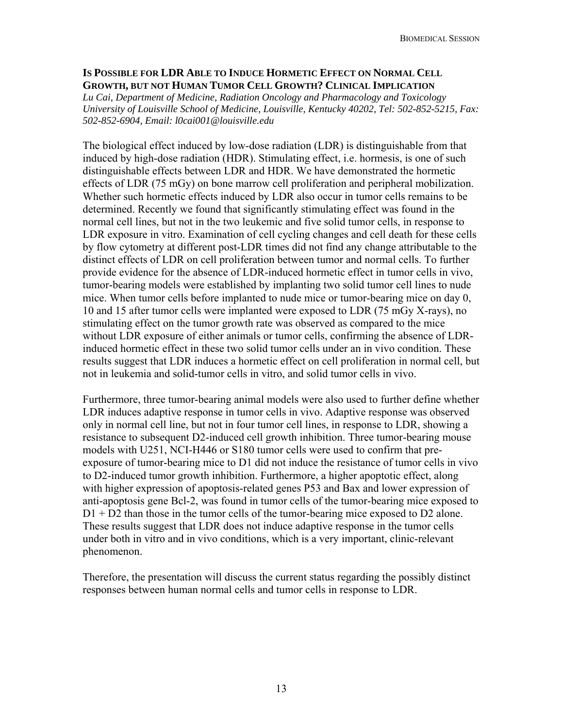#### **IS POSSIBLE FOR LDR ABLE TO INDUCE HORMETIC EFFECT ON NORMAL CELL GROWTH, BUT NOT HUMAN TUMOR CELL GROWTH? CLINICAL IMPLICATION**

*Lu Cai, Department of Medicine, Radiation Oncology and Pharmacology and Toxicology University of Louisville School of Medicine, Louisville, Kentucky 40202, Tel: 502-852-5215, Fax: 502-852-6904, Email: l0cai001@louisville.edu* 

The biological effect induced by low-dose radiation (LDR) is distinguishable from that induced by high-dose radiation (HDR). Stimulating effect, i.e. hormesis, is one of such distinguishable effects between LDR and HDR. We have demonstrated the hormetic effects of LDR (75 mGy) on bone marrow cell proliferation and peripheral mobilization. Whether such hormetic effects induced by LDR also occur in tumor cells remains to be determined. Recently we found that significantly stimulating effect was found in the normal cell lines, but not in the two leukemic and five solid tumor cells, in response to LDR exposure in vitro. Examination of cell cycling changes and cell death for these cells by flow cytometry at different post-LDR times did not find any change attributable to the distinct effects of LDR on cell proliferation between tumor and normal cells. To further provide evidence for the absence of LDR-induced hormetic effect in tumor cells in vivo, tumor-bearing models were established by implanting two solid tumor cell lines to nude mice. When tumor cells before implanted to nude mice or tumor-bearing mice on day 0, 10 and 15 after tumor cells were implanted were exposed to LDR (75 mGy X-rays), no stimulating effect on the tumor growth rate was observed as compared to the mice without LDR exposure of either animals or tumor cells, confirming the absence of LDRinduced hormetic effect in these two solid tumor cells under an in vivo condition. These results suggest that LDR induces a hormetic effect on cell proliferation in normal cell, but not in leukemia and solid-tumor cells in vitro, and solid tumor cells in vivo.

Furthermore, three tumor-bearing animal models were also used to further define whether LDR induces adaptive response in tumor cells in vivo. Adaptive response was observed only in normal cell line, but not in four tumor cell lines, in response to LDR, showing a resistance to subsequent D2-induced cell growth inhibition. Three tumor-bearing mouse models with U251, NCI-H446 or S180 tumor cells were used to confirm that preexposure of tumor-bearing mice to D1 did not induce the resistance of tumor cells in vivo to D2-induced tumor growth inhibition. Furthermore, a higher apoptotic effect, along with higher expression of apoptosis-related genes P53 and Bax and lower expression of anti-apoptosis gene Bcl-2, was found in tumor cells of the tumor-bearing mice exposed to D1 + D2 than those in the tumor cells of the tumor-bearing mice exposed to D2 alone. These results suggest that LDR does not induce adaptive response in the tumor cells under both in vitro and in vivo conditions, which is a very important, clinic-relevant phenomenon.

Therefore, the presentation will discuss the current status regarding the possibly distinct responses between human normal cells and tumor cells in response to LDR.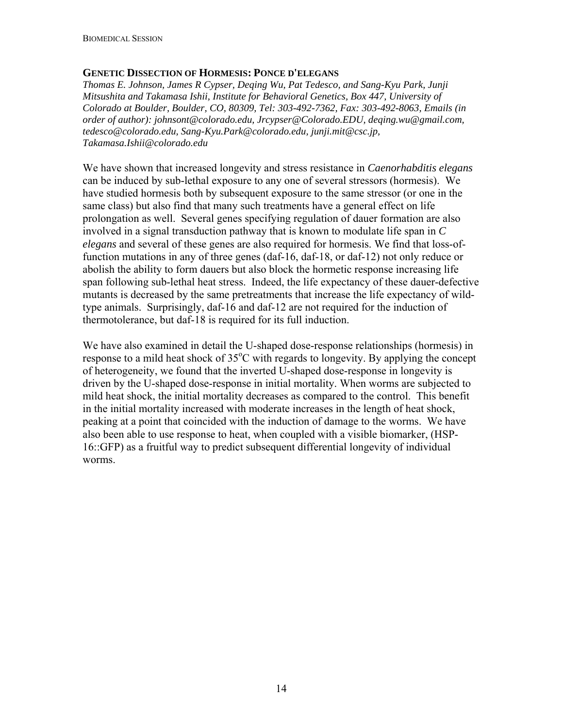#### **GENETIC DISSECTION OF HORMESIS: PONCE D'ELEGANS**

*Thomas E. Johnson, James R Cypser, Deqing Wu, Pat Tedesco, and Sang-Kyu Park, Junji Mitsushita and Takamasa Ishii, Institute for Behavioral Genetics, Box 447, University of Colorado at Boulder, Boulder, CO, 80309, Tel: 303-492-7362, Fax: 303-492-8063, Emails (in order of author): [johnsont@colorado.edu](mailto:johnsont@colorado.edu), [Jrcypser@Colorado.EDU](mailto:Jrcypser@Colorado.EDU), [deqing.wu@gmail.com,](mailto:deqing.wu@gmail.com) [tedesco@colorado.edu,](mailto:tedesco@colorado.edu) [Sang-Kyu.Park@colorado.edu,](mailto:Sang-Kyu.Park@colorado.edu) junji.mit@csc.jp, Takamasa.Ishii@colorado.edu* 

We have shown that increased longevity and stress resistance in *Caenorhabditis elegans* can be induced by sub-lethal exposure to any one of several stressors (hormesis). We have studied hormesis both by subsequent exposure to the same stressor (or one in the same class) but also find that many such treatments have a general effect on life prolongation as well. Several genes specifying regulation of dauer formation are also involved in a signal transduction pathway that is known to modulate life span in *C elegans* and several of these genes are also required for hormesis. We find that loss-offunction mutations in any of three genes (daf-16, daf-18, or daf-12) not only reduce or abolish the ability to form dauers but also block the hormetic response increasing life span following sub-lethal heat stress. Indeed, the life expectancy of these dauer-defective mutants is decreased by the same pretreatments that increase the life expectancy of wildtype animals. Surprisingly, daf-16 and daf-12 are not required for the induction of thermotolerance, but daf-18 is required for its full induction.

We have also examined in detail the U-shaped dose-response relationships (hormesis) in response to a mild heat shock of 35°C with regards to longevity. By applying the concept of heterogeneity, we found that the inverted U-shaped dose-response in longevity is driven by the U-shaped dose-response in initial mortality. When worms are subjected to mild heat shock, the initial mortality decreases as compared to the control. This benefit in the initial mortality increased with moderate increases in the length of heat shock, peaking at a point that coincided with the induction of damage to the worms. We have also been able to use response to heat, when coupled with a visible biomarker, (HSP-16::GFP) as a fruitful way to predict subsequent differential longevity of individual worms.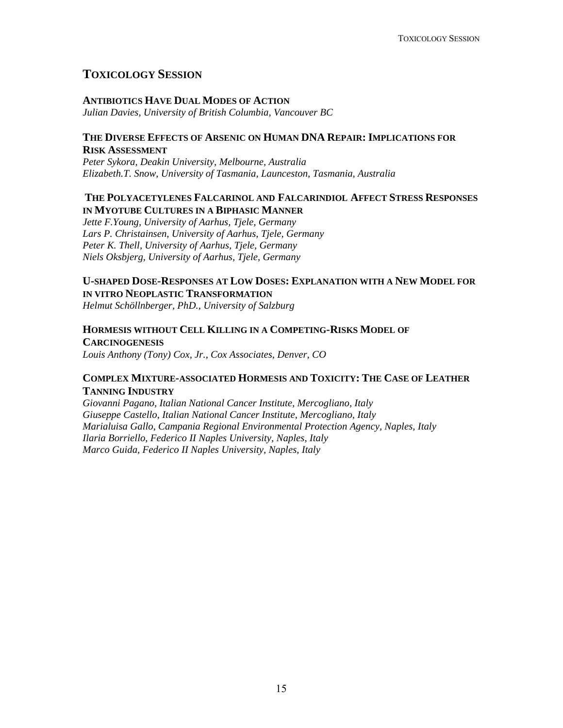# **TOXICOLOGY SESSION**

#### **ANTIBIOTICS HAVE DUAL MODES OF ACTION**

*Julian Davies, University of British Columbia, Vancouver BC* 

#### **THE DIVERSE EFFECTS OF ARSENIC ON HUMAN DNA REPAIR: IMPLICATIONS FOR RISK ASSESSMENT**

*Peter Sykora, Deakin University, Melbourne, Australia Elizabeth.T. Snow, University of Tasmania, Launceston, Tasmania, Australia* 

#### **THE POLYACETYLENES FALCARINOL AND FALCARINDIOL AFFECT STRESS RESPONSES IN MYOTUBE CULTURES IN A BIPHASIC MANNER**

*Jette F.Young, University of Aarhus, Tjele, Germany Lars P. Christainsen, University of Aarhus, Tjele, Germany Peter K. Thell, University of Aarhus, Tjele, Germany Niels Oksbjerg, University of Aarhus, Tjele, Germany* 

# **U-SHAPED DOSE-RESPONSES AT LOW DOSES: EXPLANATION WITH A NEW MODEL FOR IN VITRO NEOPLASTIC TRANSFORMATION**

*Helmut Schöllnberger, PhD., University of Salzburg* 

# **HORMESIS WITHOUT CELL KILLING IN A COMPETING-RISKS MODEL OF CARCINOGENESIS**

*Louis Anthony (Tony) Cox, Jr., Cox Associates, Denver, CO* 

#### **COMPLEX MIXTURE-ASSOCIATED HORMESIS AND TOXICITY: THE CASE OF LEATHER TANNING INDUSTRY**

*Giovanni Pagano, Italian National Cancer Institute, Mercogliano, Italy Giuseppe Castello, Italian National Cancer Institute, Mercogliano, Italy Marialuisa Gallo, Campania Regional Environmental Protection Agency, Naples, Italy Ilaria Borriello, Federico II Naples University, Naples, Italy Marco Guida, Federico II Naples University, Naples, Italy*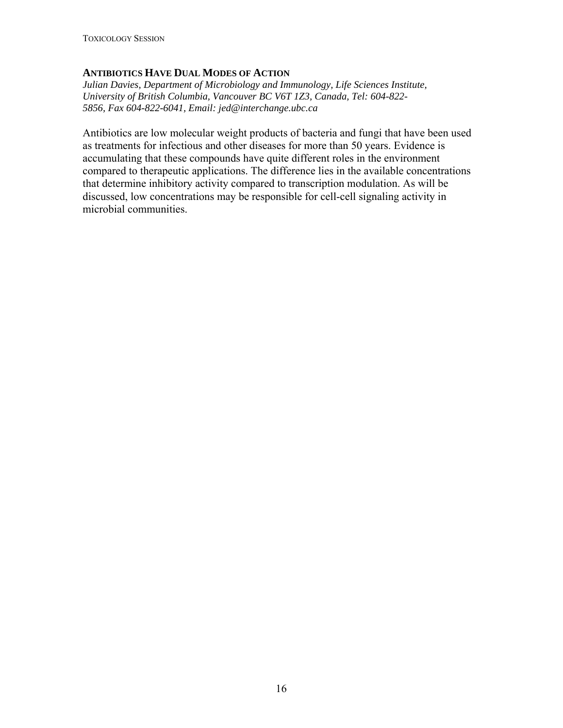# **ANTIBIOTICS HAVE DUAL MODES OF ACTION**

*Julian Davies, Department of Microbiology and Immunology, Life Sciences Institute, University of British Columbia, Vancouver BC V6T 1Z3, Canada, Tel: 604-822- 5856, Fax 604-822-6041, Email: jed@interchange.ubc.ca* 

Antibiotics are low molecular weight products of bacteria and fungi that have been used as treatments for infectious and other diseases for more than 50 years. Evidence is accumulating that these compounds have quite different roles in the environment compared to therapeutic applications. The difference lies in the available concentrations that determine inhibitory activity compared to transcription modulation. As will be discussed, low concentrations may be responsible for cell-cell signaling activity in microbial communities.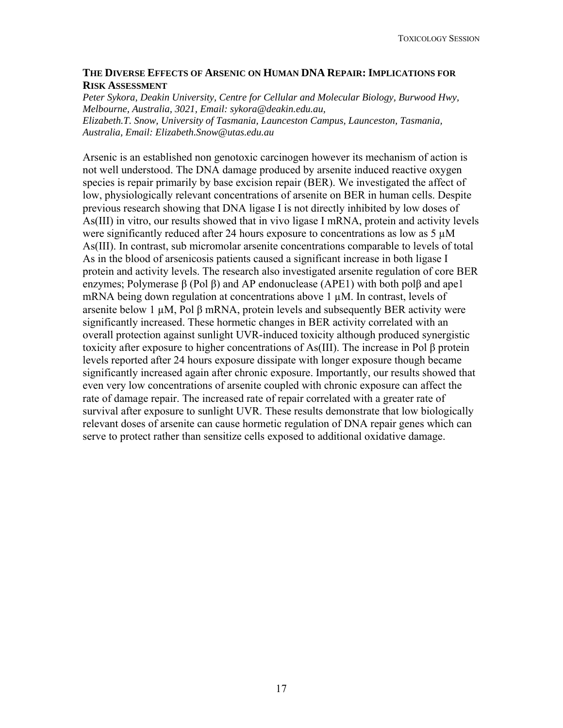#### **THE DIVERSE EFFECTS OF ARSENIC ON HUMAN DNA REPAIR: IMPLICATIONS FOR RISK ASSESSMENT**

*Peter Sykora, Deakin University, Centre for Cellular and Molecular Biology, Burwood Hwy, Melbourne, Australia, 3021, Email: [sykora@deakin.edu.au,](https://www.deakin.edu.au/webmail/imp/compose.php?to=sykora%40deakin.edu.au&thismailbox=sent-mail) Elizabeth.T. Snow, University of Tasmania, Launceston Campus, Launceston, Tasmania, Australia, Email: [Elizabeth.Snow@utas.edu.au](https://www.deakin.edu.au/webmail/imp/compose.php?to=Elizabeth.Snow%40utas.edu.au&thismailbox=sent-mail)*

Arsenic is an established non genotoxic carcinogen however its mechanism of action is not well understood. The DNA damage produced by arsenite induced reactive oxygen species is repair primarily by base excision repair (BER). We investigated the affect of low, physiologically relevant concentrations of arsenite on BER in human cells. Despite previous research showing that DNA ligase I is not directly inhibited by low doses of As(III) in vitro, our results showed that in vivo ligase I mRNA, protein and activity levels were significantly reduced after 24 hours exposure to concentrations as low as  $5 \mu M$ As(III). In contrast, sub micromolar arsenite concentrations comparable to levels of total As in the blood of arsenicosis patients caused a significant increase in both ligase I protein and activity levels. The research also investigated arsenite regulation of core BER enzymes; Polymerase β (Pol β) and AP endonuclease (APE1) with both polβ and ape1 mRNA being down regulation at concentrations above  $1 \mu M$ . In contrast, levels of arsenite below 1 µM, Pol β mRNA, protein levels and subsequently BER activity were significantly increased. These hormetic changes in BER activity correlated with an overall protection against sunlight UVR-induced toxicity although produced synergistic toxicity after exposure to higher concentrations of As(III). The increase in Pol β protein levels reported after 24 hours exposure dissipate with longer exposure though became significantly increased again after chronic exposure. Importantly, our results showed that even very low concentrations of arsenite coupled with chronic exposure can affect the rate of damage repair. The increased rate of repair correlated with a greater rate of survival after exposure to sunlight UVR. These results demonstrate that low biologically relevant doses of arsenite can cause hormetic regulation of DNA repair genes which can serve to protect rather than sensitize cells exposed to additional oxidative damage.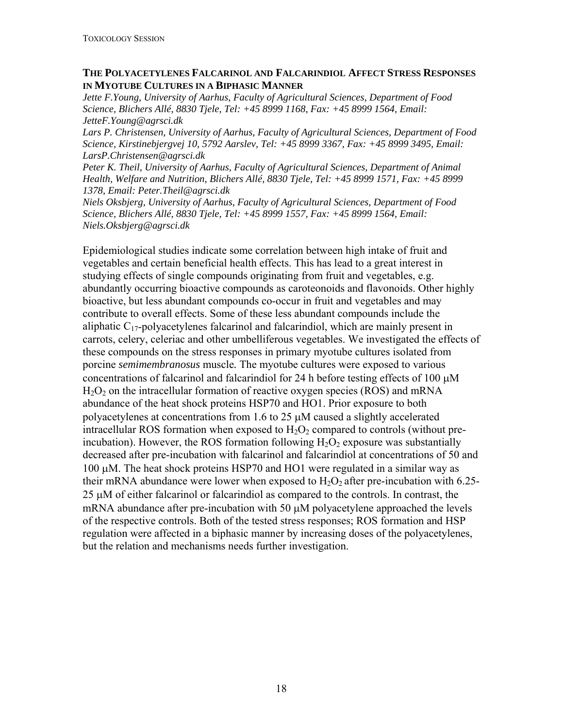#### **THE POLYACETYLENES FALCARINOL AND FALCARINDIOL AFFECT STRESS RESPONSES IN MYOTUBE CULTURES IN A BIPHASIC MANNER**

*Jette F.Young, University of Aarhus, Faculty of Agricultural Sciences, Department of Food Science, Blichers Allé, 8830 Tjele, Tel: +45 8999 1168, Fax: +45 8999 1564, Email: JetteF.Young@agrsci.dk* 

*Lars P. Christensen, University of Aarhus, Faculty of Agricultural Sciences, Department of Food Science, Kirstinebjergvej 10, 5792 Aarslev, Tel: +45 8999 3367, Fax: +45 8999 3495, Email: LarsP.Christensen@agrsci.dk* 

*Peter K. Theil, University of Aarhus, Faculty of Agricultural Sciences, Department of Animal Health, Welfare and Nutrition, Blichers Allé, 8830 Tjele, Tel: +45 8999 1571, Fax: +45 8999 1378, Email: Peter.Theil@agrsci.dk* 

*Niels Oksbjerg, University of Aarhus, Faculty of Agricultural Sciences, Department of Food Science, Blichers Allé, 8830 Tjele, Tel: +45 8999 1557, Fax: +45 8999 1564, Email: Niels.Oksbjerg@agrsci.dk* 

Epidemiological studies indicate some correlation between high intake of fruit and vegetables and certain beneficial health effects. This has lead to a great interest in studying effects of single compounds originating from fruit and vegetables, e.g. abundantly occurring bioactive compounds as caroteonoids and flavonoids. Other highly bioactive, but less abundant compounds co-occur in fruit and vegetables and may contribute to overall effects. Some of these less abundant compounds include the aliphatic  $C_{17}$ -polyacetylenes falcarinol and falcarindiol, which are mainly present in carrots, celery, celeriac and other umbelliferous vegetables. We investigated the effects of these compounds on the stress responses in primary myotube cultures isolated from porcine *semimembranosus* muscle*.* The myotube cultures were exposed to various concentrations of falcarinol and falcarindiol for 24 h before testing effects of 100  $\mu$ M  $H<sub>2</sub>O<sub>2</sub>$  on the intracellular formation of reactive oxygen species (ROS) and mRNA abundance of the heat shock proteins HSP70 and HO1. Prior exposure to both polyacetylenes at concentrations from 1.6 to 25 μM caused a slightly accelerated intracellular ROS formation when exposed to  $H_2O_2$  compared to controls (without preincubation). However, the ROS formation following  $H_2O_2$  exposure was substantially decreased after pre-incubation with falcarinol and falcarindiol at concentrations of 50 and 100 μM. The heat shock proteins HSP70 and HO1 were regulated in a similar way as their mRNA abundance were lower when exposed to  $H_2O_2$  after pre-incubation with 6.25-25 μM of either falcarinol or falcarindiol as compared to the controls. In contrast, the mRNA abundance after pre-incubation with 50 μM polyacetylene approached the levels of the respective controls. Both of the tested stress responses; ROS formation and HSP regulation were affected in a biphasic manner by increasing doses of the polyacetylenes, but the relation and mechanisms needs further investigation.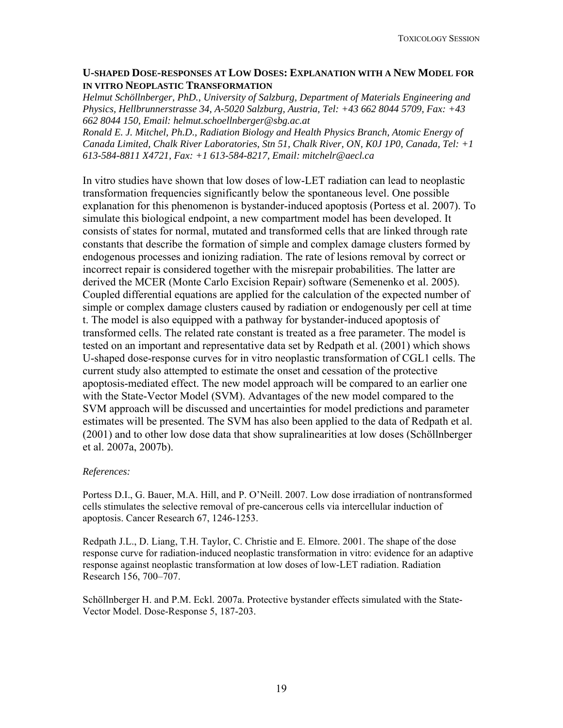## **U-SHAPED DOSE-RESPONSES AT LOW DOSES: EXPLANATION WITH A NEW MODEL FOR IN VITRO NEOPLASTIC TRANSFORMATION**

*Helmut Schöllnberger, PhD., University of Salzburg, Department of Materials Engineering and Physics, Hellbrunnerstrasse 34, A-5020 Salzburg, Austria, Tel: +43 662 8044 5709, Fax: +43 662 8044 150, Email: [helmut.schoellnberger@sbg.ac.at](mailto:helmut.schoellnberger@sbg.ac.at)*

*Ronald E. J. Mitchel, Ph.D., Radiation Biology and Health Physics Branch, Atomic Energy of Canada Limited, Chalk River Laboratories, Stn 51, Chalk River, ON, K0J 1P0, Canada, Tel: +1 613-584-8811 X4721, Fax: +1 613-584-8217, Email: [mitchelr@aecl.ca](mailto:mitchelr@aecl.ca)*

In vitro studies have shown that low doses of low-LET radiation can lead to neoplastic transformation frequencies significantly below the spontaneous level. One possible explanation for this phenomenon is bystander-induced apoptosis (Portess et al. 2007). To simulate this biological endpoint, a new compartment model has been developed. It consists of states for normal, mutated and transformed cells that are linked through rate constants that describe the formation of simple and complex damage clusters formed by endogenous processes and ionizing radiation. The rate of lesions removal by correct or incorrect repair is considered together with the misrepair probabilities. The latter are derived the MCER (Monte Carlo Excision Repair) software (Semenenko et al. 2005). Coupled differential equations are applied for the calculation of the expected number of simple or complex damage clusters caused by radiation or endogenously per cell at time t. The model is also equipped with a pathway for bystander-induced apoptosis of transformed cells. The related rate constant is treated as a free parameter. The model is tested on an important and representative data set by Redpath et al. (2001) which shows U-shaped dose-response curves for in vitro neoplastic transformation of CGL1 cells. The current study also attempted to estimate the onset and cessation of the protective apoptosis-mediated effect. The new model approach will be compared to an earlier one with the State-Vector Model (SVM). Advantages of the new model compared to the SVM approach will be discussed and uncertainties for model predictions and parameter estimates will be presented. The SVM has also been applied to the data of Redpath et al. (2001) and to other low dose data that show supralinearities at low doses (Schöllnberger et al. 2007a, 2007b).

#### *References:*

Portess D.I., G. Bauer, M.A. Hill, and P. O'Neill. 2007. Low dose irradiation of nontransformed cells stimulates the selective removal of pre-cancerous cells via intercellular induction of apoptosis. Cancer Research 67, 1246-1253.

Redpath J.L., D. Liang, T.H. Taylor, C. Christie and E. Elmore. 2001. The shape of the dose response curve for radiation-induced neoplastic transformation in vitro: evidence for an adaptive response against neoplastic transformation at low doses of low-LET radiation. Radiation Research 156, 700–707.

Schöllnberger H. and P.M. Eckl. 2007a. Protective bystander effects simulated with the State-Vector Model. Dose-Response 5, 187-203.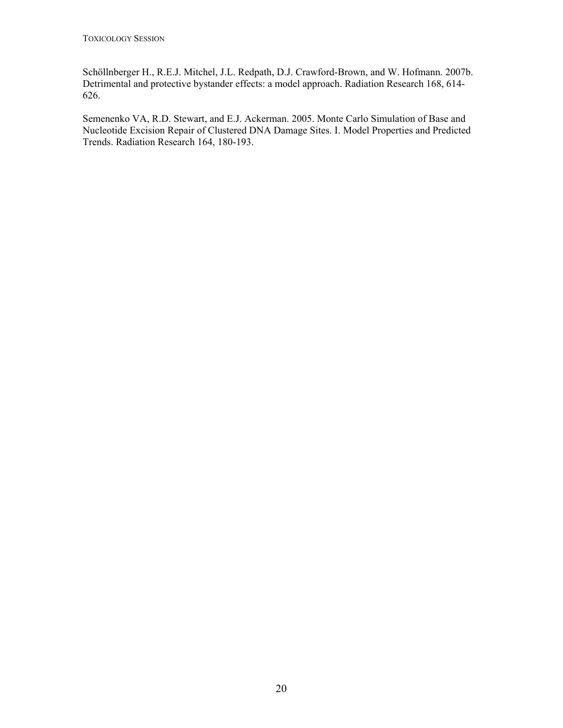Schöllnberger H., R.E.J. Mitchel, J.L. Redpath, D.J. Crawford-Brown, and W. Hofmann. 2007b. Detrimental and protective bystander effects: a model approach. Radiation Research 168, 614- 626.

Semenenko VA, R.D. Stewart, and E.J. Ackerman. 2005. [Monte Carlo Simulation of Base and](http://rh.healthsciences.purdue.edu/mcer/se05_mcer1.html)  [Nucleotide Excision Repair of Clustered DNA Damage Sites. I. Model Properties and Predicted](http://rh.healthsciences.purdue.edu/mcer/se05_mcer1.html)  [Trends.](http://rh.healthsciences.purdue.edu/mcer/se05_mcer1.html) Radiation Research 164, 180-193.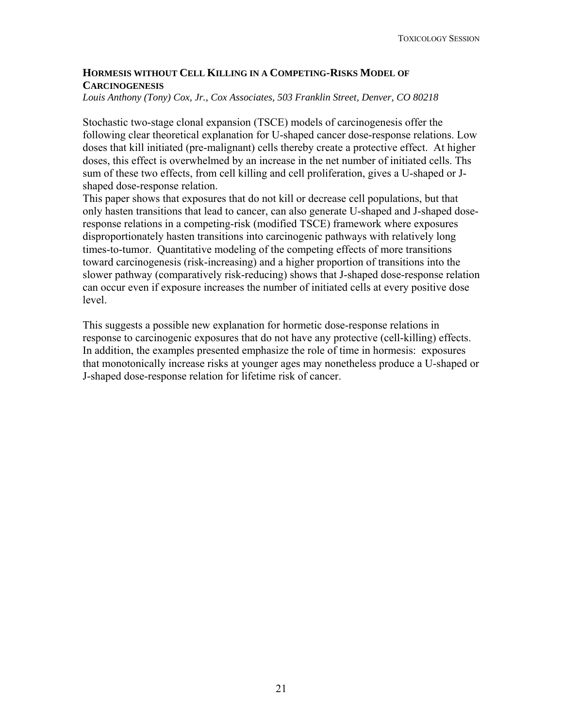# **HORMESIS WITHOUT CELL KILLING IN A COMPETING-RISKS MODEL OF CARCINOGENESIS**

*Louis Anthony (Tony) Cox, Jr., Cox Associates, 503 Franklin Street, Denver, CO 80218* 

Stochastic two-stage clonal expansion (TSCE) models of carcinogenesis offer the following clear theoretical explanation for U-shaped cancer dose-response relations. Low doses that kill initiated (pre-malignant) cells thereby create a protective effect. At higher doses, this effect is overwhelmed by an increase in the net number of initiated cells. Ths sum of these two effects, from cell killing and cell proliferation, gives a U-shaped or Jshaped dose-response relation.

This paper shows that exposures that do not kill or decrease cell populations, but that only hasten transitions that lead to cancer, can also generate U-shaped and J-shaped doseresponse relations in a competing-risk (modified TSCE) framework where exposures disproportionately hasten transitions into carcinogenic pathways with relatively long times-to-tumor. Quantitative modeling of the competing effects of more transitions toward carcinogenesis (risk-increasing) and a higher proportion of transitions into the slower pathway (comparatively risk-reducing) shows that J-shaped dose-response relation can occur even if exposure increases the number of initiated cells at every positive dose level.

This suggests a possible new explanation for hormetic dose-response relations in response to carcinogenic exposures that do not have any protective (cell-killing) effects. In addition, the examples presented emphasize the role of time in hormesis: exposures that monotonically increase risks at younger ages may nonetheless produce a U-shaped or J-shaped dose-response relation for lifetime risk of cancer.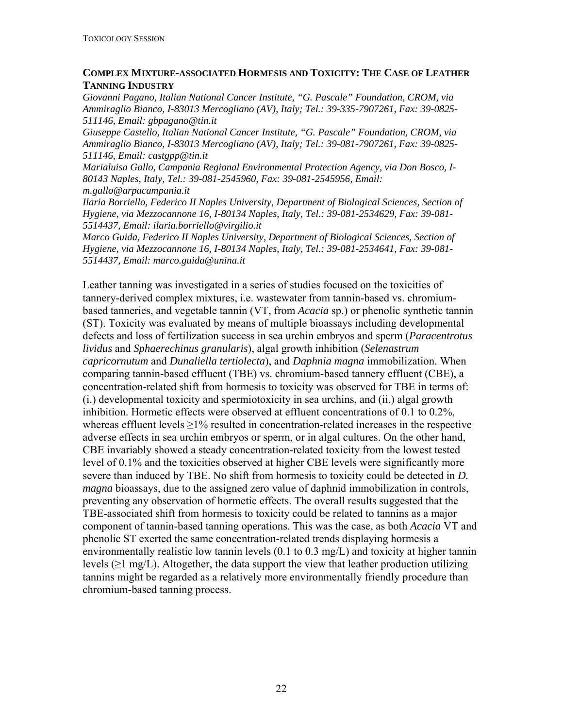## **COMPLEX MIXTURE-ASSOCIATED HORMESIS AND TOXICITY: THE CASE OF LEATHER TANNING INDUSTRY**

*Giovanni Pagano, Italian National Cancer Institute, "G. Pascale" Foundation, CROM, via Ammiraglio Bianco, I-83013 Mercogliano (AV), Italy; Tel.: 39-335-7907261, Fax: 39-0825- 511146, Email: [gbpagano@tin.it](mailto:gbpagano@tin.it)*

*Giuseppe Castello, Italian National Cancer Institute, "G. Pascale" Foundation, CROM, via Ammiraglio Bianco, I-83013 Mercogliano (AV), Italy; Tel.: 39-081-7907261, Fax: 39-0825- 511146, Email: castgpp@tin.it* 

*Marialuisa Gallo, Campania Regional Environmental Protection Agency, via Don Bosco, I-80143 Naples, Italy, Tel.: 39-081-2545960, Fax: 39-081-2545956, Email:* 

*m.gallo@arpacampania.it* 

*Ilaria Borriello, Federico II Naples University, Department of Biological Sciences, Section of Hygiene, via Mezzocannone 16, I-80134 Naples, Italy, Tel.: 39-081-2534629, Fax: 39-081- 5514437, Email: ilaria.borriello@virgilio.it* 

*Marco Guida, Federico II Naples University, Department of Biological Sciences, Section of Hygiene, via Mezzocannone 16, I-80134 Naples, Italy, Tel.: 39-081-2534641, Fax: 39-081- 5514437, Email: [marco.guida@unina.it](mailto:marco.guida@unina.it)*

Leather tanning was investigated in a series of studies focused on the toxicities of tannery-derived complex mixtures, i.e. wastewater from tannin-based vs. chromiumbased tanneries, and vegetable tannin (VT, from *Acacia* sp.) or phenolic synthetic tannin (ST). Toxicity was evaluated by means of multiple bioassays including developmental defects and loss of fertilization success in sea urchin embryos and sperm (*Paracentrotus lividus* and *Sphaerechinus granularis*), algal growth inhibition (*Selenastrum capricornutum* and *Dunaliella tertiolecta*), and *Daphnia magna* immobilization. When comparing tannin-based effluent (TBE) vs. chromium-based tannery effluent (CBE), a concentration-related shift from hormesis to toxicity was observed for TBE in terms of: (i.) developmental toxicity and spermiotoxicity in sea urchins, and (ii.) algal growth inhibition. Hormetic effects were observed at effluent concentrations of 0.1 to 0.2%, whereas effluent levels  $\geq$ 1% resulted in concentration-related increases in the respective adverse effects in sea urchin embryos or sperm, or in algal cultures. On the other hand, CBE invariably showed a steady concentration-related toxicity from the lowest tested level of 0.1% and the toxicities observed at higher CBE levels were significantly more severe than induced by TBE. No shift from hormesis to toxicity could be detected in *D. magna* bioassays, due to the assigned zero value of daphnid immobilization in controls, preventing any observation of hormetic effects. The overall results suggested that the TBE-associated shift from hormesis to toxicity could be related to tannins as a major component of tannin-based tanning operations. This was the case, as both *Acacia* VT and phenolic ST exerted the same concentration-related trends displaying hormesis a environmentally realistic low tannin levels (0.1 to 0.3 mg/L) and toxicity at higher tannin levels  $(\geq 1 \text{ mg/L})$ . Altogether, the data support the view that leather production utilizing tannins might be regarded as a relatively more environmentally friendly procedure than chromium-based tanning process.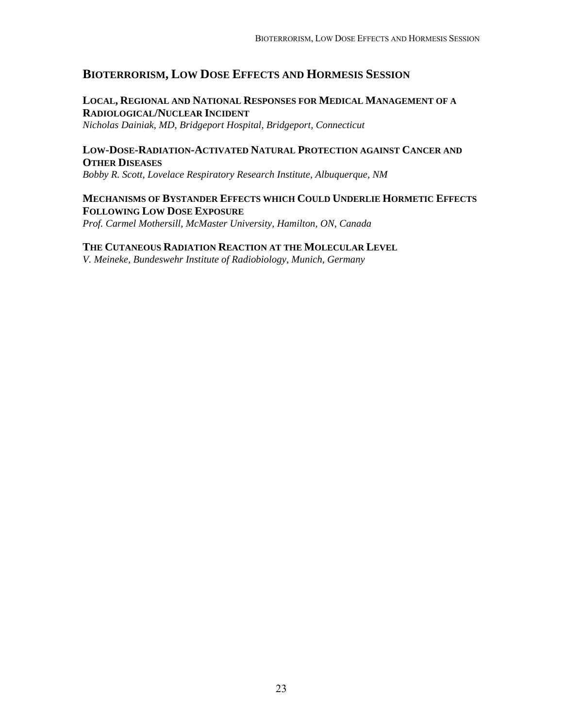# **BIOTERRORISM, LOW DOSE EFFECTS AND HORMESIS SESSION**

# **LOCAL, REGIONAL AND NATIONAL RESPONSES FOR MEDICAL MANAGEMENT OF A RADIOLOGICAL/NUCLEAR INCIDENT**

*Nicholas Dainiak, MD, Bridgeport Hospital, Bridgeport, Connecticut* 

#### **LOW-DOSE-RADIATION-ACTIVATED NATURAL PROTECTION AGAINST CANCER AND OTHER DISEASES**

*Bobby R. Scott, Lovelace Respiratory Research Institute, Albuquerque, NM* 

#### **MECHANISMS OF BYSTANDER EFFECTS WHICH COULD UNDERLIE HORMETIC EFFECTS FOLLOWING LOW DOSE EXPOSURE**

*Prof. Carmel Mothersill, McMaster University, Hamilton, ON, Canada* 

#### **THE CUTANEOUS RADIATION REACTION AT THE MOLECULAR LEVEL**

*V. Meineke, Bundeswehr Institute of Radiobiology, Munich, Germany*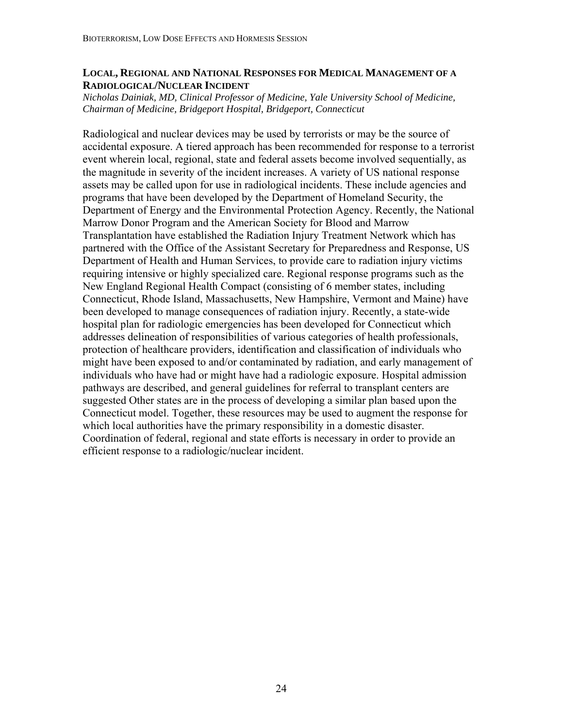### **LOCAL, REGIONAL AND NATIONAL RESPONSES FOR MEDICAL MANAGEMENT OF A RADIOLOGICAL/NUCLEAR INCIDENT**

*Nicholas Dainiak, MD, Clinical Professor of Medicine, Yale University School of Medicine, Chairman of Medicine, Bridgeport Hospital, Bridgeport, Connecticut* 

Radiological and nuclear devices may be used by terrorists or may be the source of accidental exposure. A tiered approach has been recommended for response to a terrorist event wherein local, regional, state and federal assets become involved sequentially, as the magnitude in severity of the incident increases. A variety of US national response assets may be called upon for use in radiological incidents. These include agencies and programs that have been developed by the Department of Homeland Security, the Department of Energy and the Environmental Protection Agency. Recently, the National Marrow Donor Program and the American Society for Blood and Marrow Transplantation have established the Radiation Injury Treatment Network which has partnered with the Office of the Assistant Secretary for Preparedness and Response, US Department of Health and Human Services, to provide care to radiation injury victims requiring intensive or highly specialized care. Regional response programs such as the New England Regional Health Compact (consisting of 6 member states, including Connecticut, Rhode Island, Massachusetts, New Hampshire, Vermont and Maine) have been developed to manage consequences of radiation injury. Recently, a state-wide hospital plan for radiologic emergencies has been developed for Connecticut which addresses delineation of responsibilities of various categories of health professionals, protection of healthcare providers, identification and classification of individuals who might have been exposed to and/or contaminated by radiation, and early management of individuals who have had or might have had a radiologic exposure. Hospital admission pathways are described, and general guidelines for referral to transplant centers are suggested Other states are in the process of developing a similar plan based upon the Connecticut model. Together, these resources may be used to augment the response for which local authorities have the primary responsibility in a domestic disaster. Coordination of federal, regional and state efforts is necessary in order to provide an efficient response to a radiologic/nuclear incident.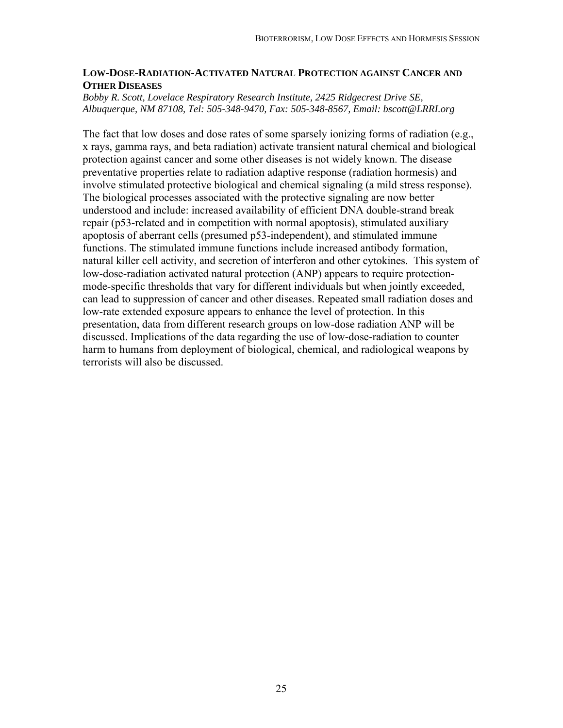#### **LOW-DOSE-RADIATION-ACTIVATED NATURAL PROTECTION AGAINST CANCER AND OTHER DISEASES**

#### *Bobby R. Scott, Lovelace Respiratory Research Institute, 2425 Ridgecrest Drive SE, Albuquerque, NM 87108, Tel: 505-348-9470, Fax: 505-348-8567, Email: bscott@LRRI.org*

The fact that low doses and dose rates of some sparsely ionizing forms of radiation (e.g., x rays, gamma rays, and beta radiation) activate transient natural chemical and biological protection against cancer and some other diseases is not widely known. The disease preventative properties relate to radiation adaptive response (radiation hormesis) and involve stimulated protective biological and chemical signaling (a mild stress response). The biological processes associated with the protective signaling are now better understood and include: increased availability of efficient DNA double-strand break repair (p53-related and in competition with normal apoptosis), stimulated auxiliary apoptosis of aberrant cells (presumed p53-independent), and stimulated immune functions. The stimulated immune functions include increased antibody formation, natural killer cell activity, and secretion of interferon and other cytokines. This system of low-dose-radiation activated natural protection (ANP) appears to require protectionmode-specific thresholds that vary for different individuals but when jointly exceeded, can lead to suppression of cancer and other diseases. Repeated small radiation doses and low-rate extended exposure appears to enhance the level of protection. In this presentation, data from different research groups on low-dose radiation ANP will be discussed. Implications of the data regarding the use of low-dose-radiation to counter harm to humans from deployment of biological, chemical, and radiological weapons by terrorists will also be discussed.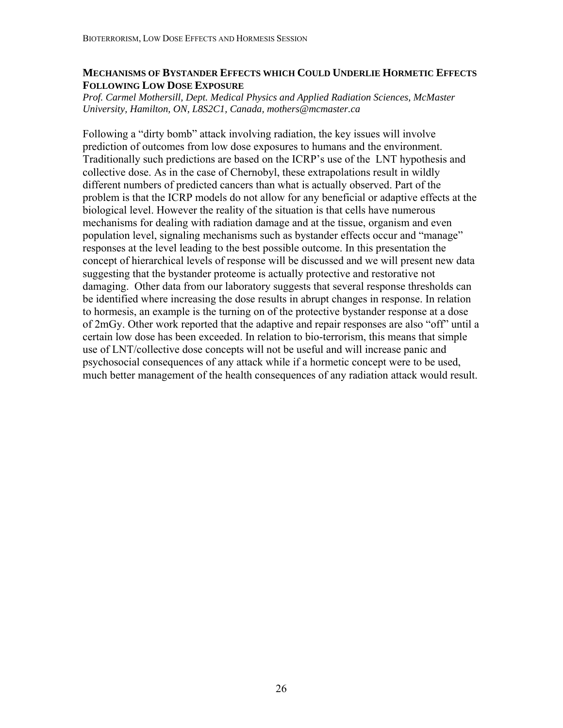# **MECHANISMS OF BYSTANDER EFFECTS WHICH COULD UNDERLIE HORMETIC EFFECTS FOLLOWING LOW DOSE EXPOSURE**

*Prof. Carmel Mothersill, Dept. Medical Physics and Applied Radiation Sciences, McMaster University, Hamilton, ON, L8S2C1, Canada, mothers@mcmaster.ca* 

Following a "dirty bomb" attack involving radiation, the key issues will involve prediction of outcomes from low dose exposures to humans and the environment. Traditionally such predictions are based on the ICRP's use of the LNT hypothesis and collective dose. As in the case of Chernobyl, these extrapolations result in wildly different numbers of predicted cancers than what is actually observed. Part of the problem is that the ICRP models do not allow for any beneficial or adaptive effects at the biological level. However the reality of the situation is that cells have numerous mechanisms for dealing with radiation damage and at the tissue, organism and even population level, signaling mechanisms such as bystander effects occur and "manage" responses at the level leading to the best possible outcome. In this presentation the concept of hierarchical levels of response will be discussed and we will present new data suggesting that the bystander proteome is actually protective and restorative not damaging. Other data from our laboratory suggests that several response thresholds can be identified where increasing the dose results in abrupt changes in response. In relation to hormesis, an example is the turning on of the protective bystander response at a dose of 2mGy. Other work reported that the adaptive and repair responses are also "off" until a certain low dose has been exceeded. In relation to bio-terrorism, this means that simple use of LNT/collective dose concepts will not be useful and will increase panic and psychosocial consequences of any attack while if a hormetic concept were to be used, much better management of the health consequences of any radiation attack would result.